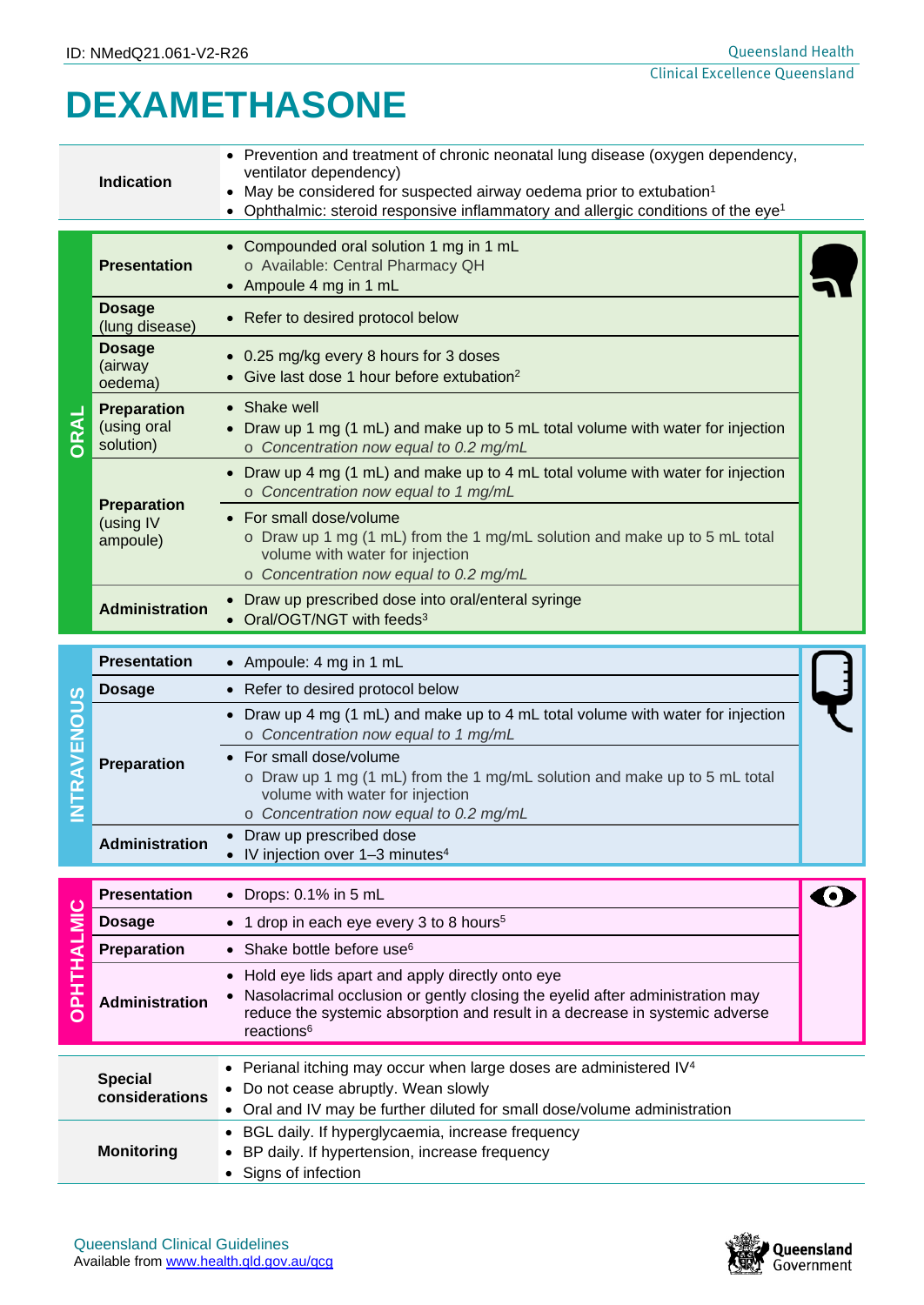# **DEXAMETHASONE**

|                   | <b>Indication</b>                              | • Prevention and treatment of chronic neonatal lung disease (oxygen dependency,<br>ventilator dependency)<br>May be considered for suspected airway oedema prior to extubation <sup>1</sup><br>Ophthalmic: steroid responsive inflammatory and allergic conditions of the eye <sup>1</sup> |                       |
|-------------------|------------------------------------------------|--------------------------------------------------------------------------------------------------------------------------------------------------------------------------------------------------------------------------------------------------------------------------------------------|-----------------------|
| ORAL              | <b>Presentation</b>                            | • Compounded oral solution 1 mg in 1 mL<br>o Available: Central Pharmacy QH<br>• Ampoule 4 mg in 1 mL                                                                                                                                                                                      |                       |
|                   | <b>Dosage</b><br>(lung disease)                | • Refer to desired protocol below                                                                                                                                                                                                                                                          |                       |
|                   | <b>Dosage</b><br>(airway<br>oedema)            | 0.25 mg/kg every 8 hours for 3 doses<br>Give last dose 1 hour before extubation <sup>2</sup>                                                                                                                                                                                               |                       |
|                   | <b>Preparation</b><br>(using oral<br>solution) | Shake well<br>$\bullet$<br>Draw up 1 mg (1 mL) and make up to 5 mL total volume with water for injection<br>o Concentration now equal to 0.2 mg/mL                                                                                                                                         |                       |
|                   |                                                | Draw up 4 mg (1 mL) and make up to 4 mL total volume with water for injection<br>o Concentration now equal to 1 mg/mL                                                                                                                                                                      |                       |
|                   | <b>Preparation</b><br>(using IV<br>ampoule)    | • For small dose/volume<br>o Draw up 1 mg (1 mL) from the 1 mg/mL solution and make up to 5 mL total<br>volume with water for injection<br>o Concentration now equal to 0.2 mg/mL                                                                                                          |                       |
|                   | <b>Administration</b>                          | Draw up prescribed dose into oral/enteral syringe<br>Oral/OGT/NGT with feeds <sup>3</sup>                                                                                                                                                                                                  |                       |
|                   | <b>Presentation</b>                            | • Ampoule: 4 mg in 1 mL                                                                                                                                                                                                                                                                    |                       |
|                   | <b>Dosage</b>                                  | • Refer to desired protocol below                                                                                                                                                                                                                                                          |                       |
|                   |                                                | Draw up 4 mg (1 mL) and make up to 4 mL total volume with water for injection<br>o Concentration now equal to 1 mg/mL                                                                                                                                                                      |                       |
| <b>NTRAVENOUS</b> | Preparation                                    | • For small dose/volume<br>o Draw up 1 mg (1 mL) from the 1 mg/mL solution and make up to 5 mL total<br>volume with water for injection                                                                                                                                                    |                       |
|                   | <b>Administration</b>                          | o Concentration now equal to 0.2 mg/mL<br>Draw up prescribed dose<br>IV injection over 1-3 minutes <sup>4</sup>                                                                                                                                                                            |                       |
|                   | <b>Presentation</b>                            | $\bullet$ Drops: 0.1% in 5 mL                                                                                                                                                                                                                                                              | $\boldsymbol{\Theta}$ |
|                   | <b>Dosage</b>                                  | 1 drop in each eye every 3 to 8 hours <sup>5</sup><br>$\bullet$                                                                                                                                                                                                                            |                       |
|                   | Preparation                                    | • Shake bottle before use <sup>6</sup>                                                                                                                                                                                                                                                     |                       |
| OPHTHALMIC        | Administration                                 | Hold eye lids apart and apply directly onto eye<br>Nasolacrimal occlusion or gently closing the eyelid after administration may<br>reduce the systemic absorption and result in a decrease in systemic adverse<br>reactions <sup>6</sup>                                                   |                       |
|                   | <b>Special</b><br>considerations               | Perianal itching may occur when large doses are administered IV <sup>4</sup><br>Do not cease abruptly. Wean slowly<br>Oral and IV may be further diluted for small dose/volume administration<br>$\bullet$                                                                                 |                       |
|                   | <b>Monitoring</b>                              | BGL daily. If hyperglycaemia, increase frequency<br>BP daily. If hypertension, increase frequency                                                                                                                                                                                          |                       |
|                   |                                                | Signs of infection                                                                                                                                                                                                                                                                         |                       |

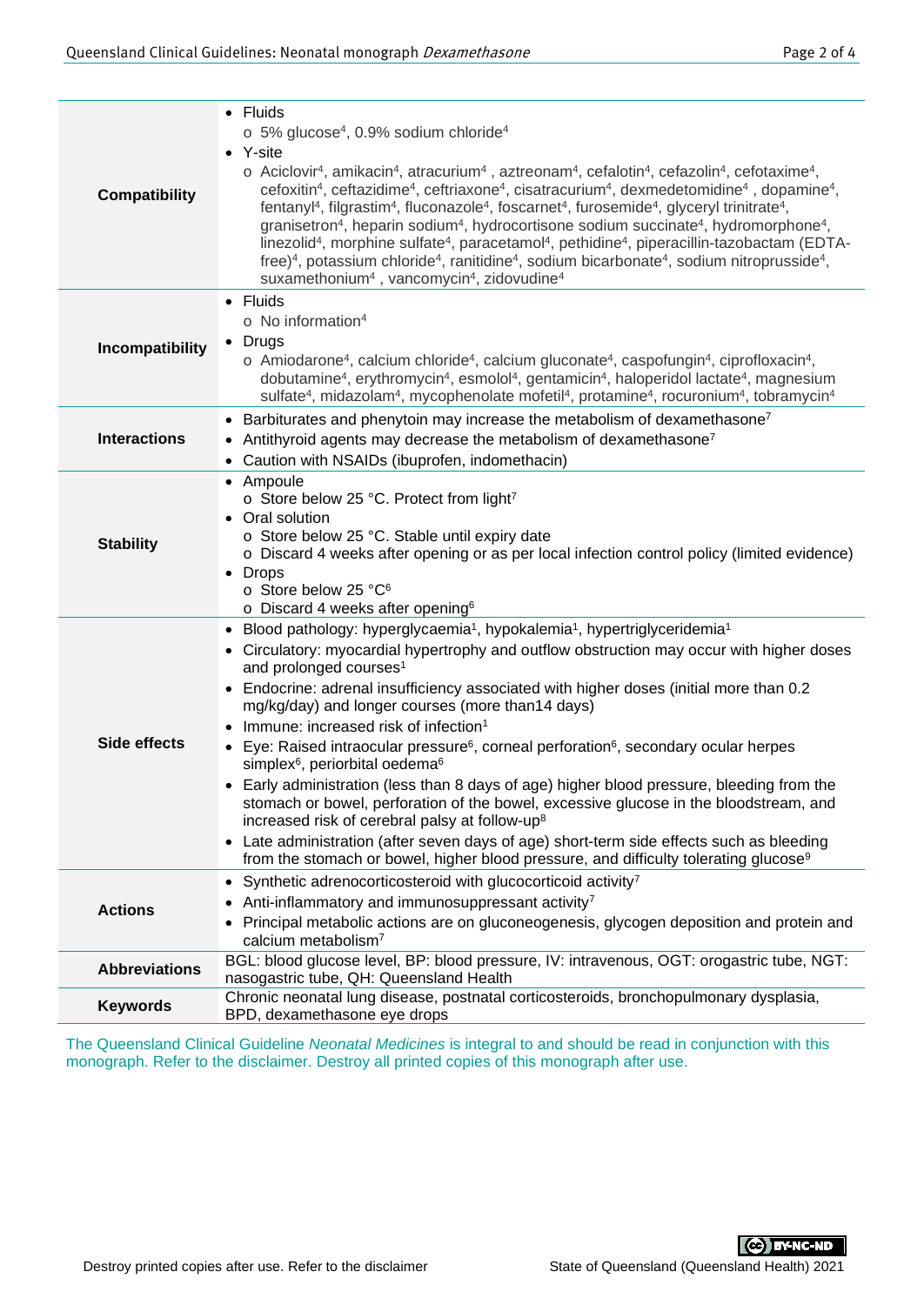| <b>Compatibility</b> | • Fluids<br>$\circ$ 5% glucose <sup>4</sup> , 0.9% sodium chloride <sup>4</sup><br>• Y-site<br>o Aciclovir <sup>4</sup> , amikacin <sup>4</sup> , atracurium <sup>4</sup> , aztreonam <sup>4</sup> , cefalotin <sup>4</sup> , cefazolin <sup>4</sup> , cefotaxime <sup>4</sup> ,<br>cefoxitin <sup>4</sup> , ceftazidime <sup>4</sup> , ceftriaxone <sup>4</sup> , cisatracurium <sup>4</sup> , dexmedetomidine <sup>4</sup> , dopamine <sup>4</sup> ,<br>fentanyl <sup>4</sup> , filgrastim <sup>4</sup> , fluconazole <sup>4</sup> , foscarnet <sup>4</sup> , furosemide <sup>4</sup> , glyceryl trinitrate <sup>4</sup> ,<br>granisetron <sup>4</sup> , heparin sodium <sup>4</sup> , hydrocortisone sodium succinate <sup>4</sup> , hydromorphone <sup>4</sup> ,<br>linezolid <sup>4</sup> , morphine sulfate <sup>4</sup> , paracetamol <sup>4</sup> , pethidine <sup>4</sup> , piperacillin-tazobactam (EDTA-<br>free) <sup>4</sup> , potassium chloride <sup>4</sup> , ranitidine <sup>4</sup> , sodium bicarbonate <sup>4</sup> , sodium nitroprusside <sup>4</sup> ,<br>suxamethonium <sup>4</sup> , vancomycin <sup>4</sup> , zidovudine <sup>4</sup> |
|----------------------|-----------------------------------------------------------------------------------------------------------------------------------------------------------------------------------------------------------------------------------------------------------------------------------------------------------------------------------------------------------------------------------------------------------------------------------------------------------------------------------------------------------------------------------------------------------------------------------------------------------------------------------------------------------------------------------------------------------------------------------------------------------------------------------------------------------------------------------------------------------------------------------------------------------------------------------------------------------------------------------------------------------------------------------------------------------------------------------------------------------------------------------------------------------------|
| Incompatibility      | • Fluids<br>$\circ$ No information <sup>4</sup><br>• Drugs<br>$\circ$ Amiodarone <sup>4</sup> , calcium chloride <sup>4</sup> , calcium gluconate <sup>4</sup> , caspofungin <sup>4</sup> , ciprofloxacin <sup>4</sup> ,<br>dobutamine <sup>4</sup> , erythromycin <sup>4</sup> , esmolol <sup>4</sup> , gentamicin <sup>4</sup> , haloperidol lactate <sup>4</sup> , magnesium<br>sulfate <sup>4</sup> , midazolam <sup>4</sup> , mycophenolate mofetil <sup>4</sup> , protamine <sup>4</sup> , rocuronium <sup>4</sup> , tobramycin <sup>4</sup>                                                                                                                                                                                                                                                                                                                                                                                                                                                                                                                                                                                                              |
| <b>Interactions</b>  | • Barbiturates and phenytoin may increase the metabolism of dexamethasone <sup>7</sup><br>• Antithyroid agents may decrease the metabolism of dexamethasone <sup>7</sup><br>• Caution with NSAIDs (ibuprofen, indomethacin)                                                                                                                                                                                                                                                                                                                                                                                                                                                                                                                                                                                                                                                                                                                                                                                                                                                                                                                                     |
| <b>Stability</b>     | • Ampoule<br>o Store below 25 °C. Protect from light <sup>7</sup><br>Oral solution<br>o Store below 25 °C. Stable until expiry date<br>o Discard 4 weeks after opening or as per local infection control policy (limited evidence)<br>• Drops<br>o Store below 25 °C <sup>6</sup><br>$\circ$ Discard 4 weeks after opening <sup>6</sup>                                                                                                                                                                                                                                                                                                                                                                                                                                                                                                                                                                                                                                                                                                                                                                                                                         |
| <b>Side effects</b>  | • Blood pathology: hyperglycaemia <sup>1</sup> , hypokalemia <sup>1</sup> , hypertriglyceridemia <sup>1</sup><br>• Circulatory: myocardial hypertrophy and outflow obstruction may occur with higher doses<br>and prolonged courses <sup>1</sup><br>Endocrine: adrenal insufficiency associated with higher doses (initial more than 0.2<br>mg/kg/day) and longer courses (more than14 days)<br>Immune: increased risk of infection <sup>1</sup><br>• Eye: Raised intraocular pressure <sup>6</sup> , corneal perforation <sup>6</sup> , secondary ocular herpes<br>simplex <sup>6</sup> , periorbital oedema <sup>6</sup><br>• Early administration (less than 8 days of age) higher blood pressure, bleeding from the<br>stomach or bowel, perforation of the bowel, excessive glucose in the bloodstream, and<br>increased risk of cerebral palsy at follow-up <sup>8</sup><br>• Late administration (after seven days of age) short-term side effects such as bleeding<br>from the stomach or bowel, higher blood pressure, and difficulty tolerating glucose <sup>9</sup>                                                                                  |
| <b>Actions</b>       | Synthetic adrenocorticosteroid with glucocorticoid activity <sup>7</sup><br>Anti-inflammatory and immunosuppressant activity <sup>7</sup><br>Principal metabolic actions are on gluconeogenesis, glycogen deposition and protein and<br>calcium metabolism <sup>7</sup>                                                                                                                                                                                                                                                                                                                                                                                                                                                                                                                                                                                                                                                                                                                                                                                                                                                                                         |
| <b>Abbreviations</b> | BGL: blood glucose level, BP: blood pressure, IV: intravenous, OGT: orogastric tube, NGT:<br>nasogastric tube, QH: Queensland Health                                                                                                                                                                                                                                                                                                                                                                                                                                                                                                                                                                                                                                                                                                                                                                                                                                                                                                                                                                                                                            |
| <b>Keywords</b>      | Chronic neonatal lung disease, postnatal corticosteroids, bronchopulmonary dysplasia,<br>BPD, dexamethasone eye drops                                                                                                                                                                                                                                                                                                                                                                                                                                                                                                                                                                                                                                                                                                                                                                                                                                                                                                                                                                                                                                           |

The Queensland Clinical Guideline *Neonatal Medicines* is integral to and should be read in conjunction with this monograph. Refer to the disclaimer. Destroy all printed copies of this monograph after use.

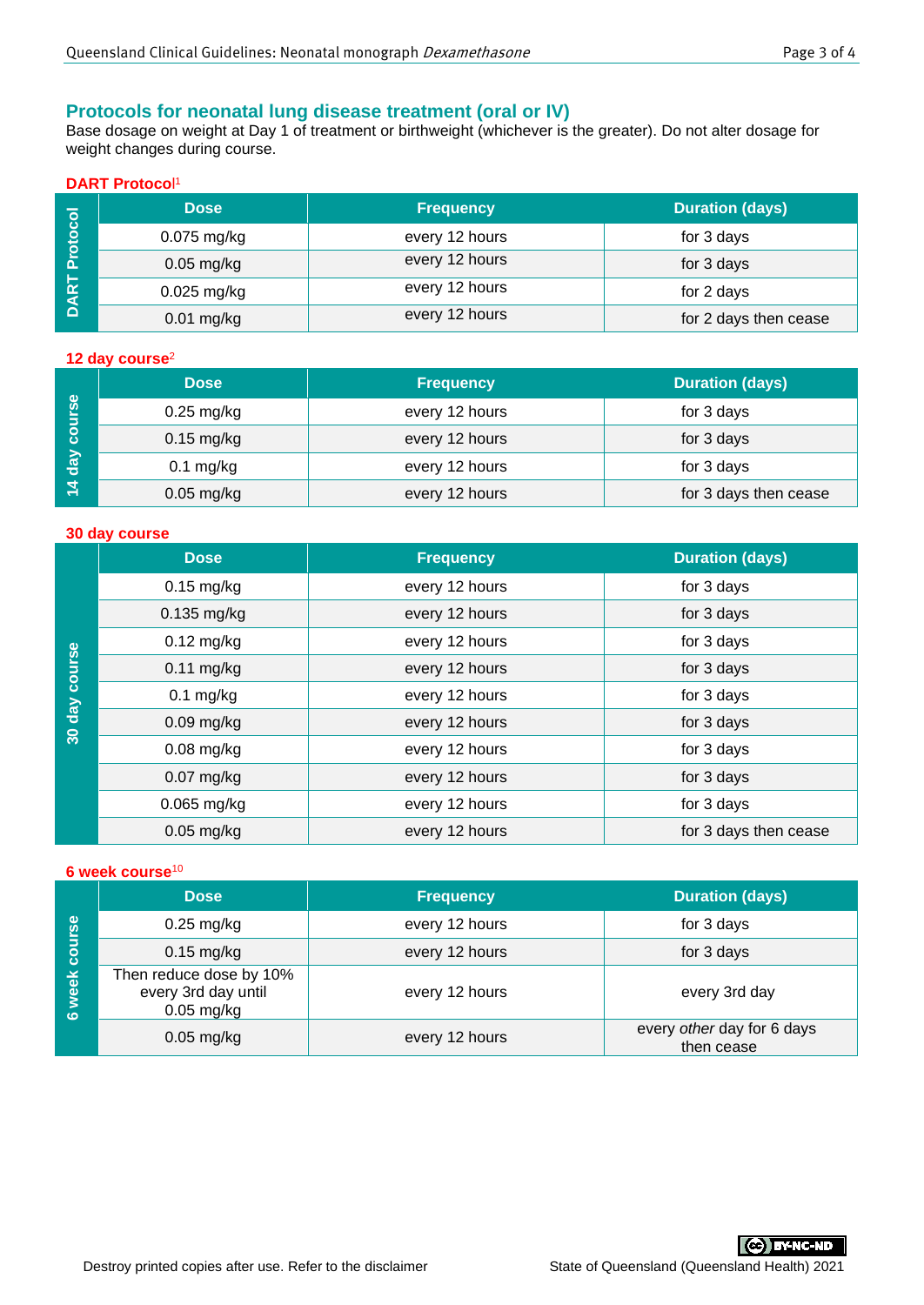## **Protocols for neonatal lung disease treatment (oral or IV)**

Base dosage on weight at Day 1 of treatment or birthweight (whichever is the greater). Do not alter dosage for weight changes during course.

## **DART Protoco**l 1

|                              | <b>Dose</b>   | <b>Frequency</b> | <b>Duration (days)</b> |
|------------------------------|---------------|------------------|------------------------|
| <b>rotocol</b>               | 0.075 mg/kg   | every 12 hours   | for 3 days             |
| ⊢<br>$\overline{\mathbf{R}}$ | $0.05$ mg/kg  | every 12 hours   | for 3 days             |
|                              | $0.025$ mg/kg | every 12 hours   | for 2 days             |
| $\Omega$                     | $0.01$ mg/kg  | every 12 hours   | for 2 days then cease  |

#### **12 day course**<sup>2</sup>

|                                | <b>Dose</b>  | <b>Frequency</b> | <b>Duration (days)</b> |
|--------------------------------|--------------|------------------|------------------------|
| course                         | $0.25$ mg/kg | every 12 hours   | for 3 days             |
|                                | $0.15$ mg/kg | every 12 hours   | for 3 days             |
| day<br>$\overline{\mathbf{A}}$ | $0.1$ mg/kg  | every 12 hours   | for 3 days             |
|                                | $0.05$ mg/kg | every 12 hours   | for 3 days then cease  |

#### **30 day course**

|                                        | <b>Dose</b>                   | <b>Frequency</b> | <b>Duration (days)</b> |
|----------------------------------------|-------------------------------|------------------|------------------------|
| course<br><u>day</u><br>$\frac{1}{30}$ | $0.15$ mg/kg                  | every 12 hours   | for 3 days             |
|                                        | $0.135$ mg/kg                 | every 12 hours   | for 3 days             |
|                                        | $0.12$ mg/kg                  | every 12 hours   | for 3 days             |
|                                        | $0.11$ mg/kg                  | every 12 hours   | for 3 days             |
|                                        | $0.1$ mg/kg<br>every 12 hours |                  | for 3 days             |
|                                        | $0.09$ mg/kg                  | every 12 hours   | for 3 days             |
|                                        | $0.08$ mg/kg                  | every 12 hours   | for 3 days             |
|                                        | $0.07$ mg/kg                  | every 12 hours   | for 3 days             |
|                                        | $0.065$ mg/kg                 | every 12 hours   | for 3 days             |
|                                        | $0.05$ mg/kg                  | every 12 hours   | for 3 days then cease  |

#### **6 week course**<sup>10</sup>

|                 | <b>Dose</b>                                                    | <b>Frequency</b> | <b>Duration (days)</b>                   |
|-----------------|----------------------------------------------------------------|------------------|------------------------------------------|
|                 | $0.25$ mg/kg                                                   | every 12 hours   | for 3 days                               |
| course          | $0.15$ mg/kg                                                   | every 12 hours   | for 3 days                               |
| week<br>$\circ$ | Then reduce dose by 10%<br>every 3rd day until<br>$0.05$ mg/kg | every 12 hours   | every 3rd day                            |
|                 | $0.05$ mg/kg                                                   | every 12 hours   | every other day for 6 days<br>then cease |